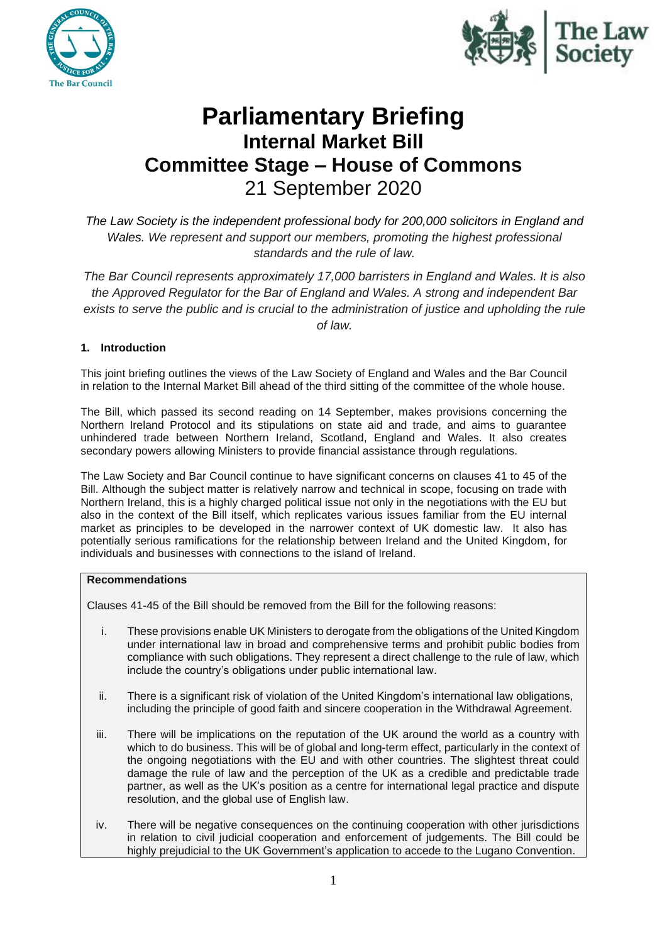



# **Parliamentary Briefing Internal Market Bill Committee Stage – House of Commons** 21 September 2020

*The Law Society is the independent professional body for 200,000 solicitors in England and Wales. We represent and support our members, promoting the highest professional standards and the rule of law.*

*The Bar Council represents approximately 17,000 barristers in England and Wales. It is also the Approved Regulator for the Bar of England and Wales. A strong and independent Bar*  exists to serve the public and is crucial to the administration of justice and upholding the rule

*of law.*

# **1. Introduction**

This joint briefing outlines the views of the Law Society of England and Wales and the Bar Council in relation to the Internal Market Bill ahead of the third sitting of the committee of the whole house.

The Bill, which passed its second reading on 14 September, makes provisions concerning the Northern Ireland Protocol and its stipulations on state aid and trade, and aims to guarantee unhindered trade between Northern Ireland, Scotland, England and Wales. It also creates secondary powers allowing Ministers to provide financial assistance through regulations.

The Law Society and Bar Council continue to have significant concerns on clauses 41 to 45 of the Bill. Although the subject matter is relatively narrow and technical in scope, focusing on trade with Northern Ireland, this is a highly charged political issue not only in the negotiations with the EU but also in the context of the Bill itself, which replicates various issues familiar from the EU internal market as principles to be developed in the narrower context of UK domestic law. It also has potentially serious ramifications for the relationship between Ireland and the United Kingdom, for individuals and businesses with connections to the island of Ireland.

## **Recommendations**

Clauses 41-45 of the Bill should be removed from the Bill for the following reasons:

- i. These provisions enable UK Ministers to derogate from the obligations of the United Kingdom under international law in broad and comprehensive terms and prohibit public bodies from compliance with such obligations. They represent a direct challenge to the rule of law, which include the country's obligations under public international law.
- ii. There is a significant risk of violation of the United Kingdom's international law obligations, including the principle of good faith and sincere cooperation in the Withdrawal Agreement.
- iii. There will be implications on the reputation of the UK around the world as a country with which to do business. This will be of global and long-term effect, particularly in the context of the ongoing negotiations with the EU and with other countries. The slightest threat could damage the rule of law and the perception of the UK as a credible and predictable trade partner, as well as the UK's position as a centre for international legal practice and dispute resolution, and the global use of English law.
- iv. There will be negative consequences on the continuing cooperation with other jurisdictions in relation to civil judicial cooperation and enforcement of judgements. The Bill could be highly prejudicial to the UK Government's application to accede to the Lugano Convention.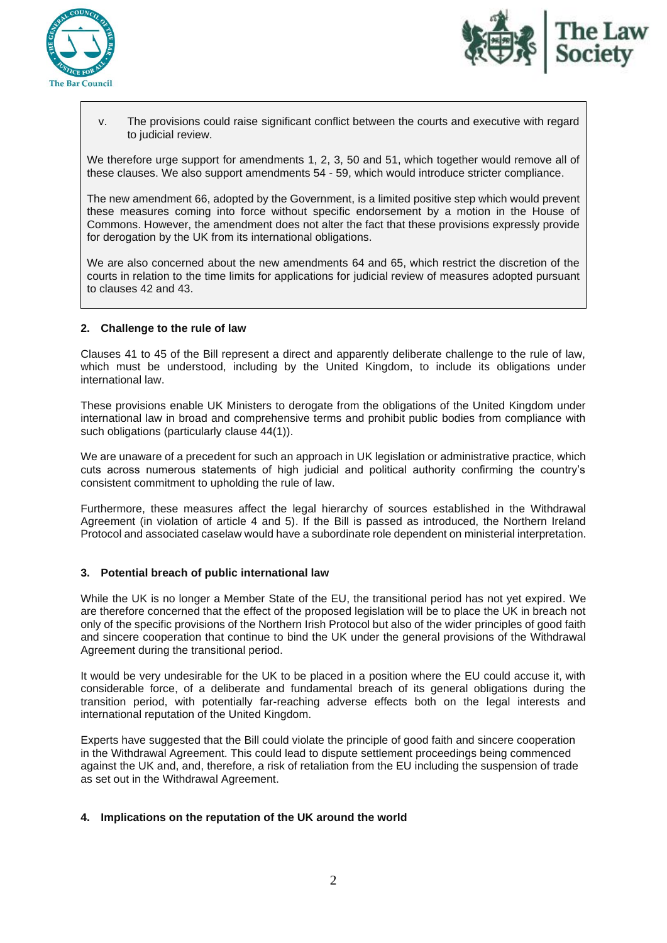



v. The provisions could raise significant conflict between the courts and executive with regard to judicial review.

We therefore urge support for amendments 1, 2, 3, 50 and 51, which together would remove all of these clauses. We also support amendments 54 - 59, which would introduce stricter compliance.

The new amendment 66, adopted by the Government, is a limited positive step which would prevent these measures coming into force without specific endorsement by a motion in the House of Commons. However, the amendment does not alter the fact that these provisions expressly provide for derogation by the UK from its international obligations.

We are also concerned about the new amendments 64 and 65, which restrict the discretion of the courts in relation to the time limits for applications for judicial review of measures adopted pursuant to clauses 42 and 43.

#### **2. Challenge to the rule of law**

Clauses 41 to 45 of the Bill represent a direct and apparently deliberate challenge to the rule of law, which must be understood, including by the United Kingdom, to include its obligations under international law.

These provisions enable UK Ministers to derogate from the obligations of the United Kingdom under international law in broad and comprehensive terms and prohibit public bodies from compliance with such obligations (particularly clause 44(1)).

We are unaware of a precedent for such an approach in UK legislation or administrative practice, which cuts across numerous statements of high judicial and political authority confirming the country's consistent commitment to upholding the rule of law.

Furthermore, these measures affect the legal hierarchy of sources established in the Withdrawal Agreement (in violation of article 4 and 5). If the Bill is passed as introduced, the Northern Ireland Protocol and associated caselaw would have a subordinate role dependent on ministerial interpretation.

## **3. Potential breach of public international law**

While the UK is no longer a Member State of the EU, the transitional period has not vet expired. We are therefore concerned that the effect of the proposed legislation will be to place the UK in breach not only of the specific provisions of the Northern Irish Protocol but also of the wider principles of good faith and sincere cooperation that continue to bind the UK under the general provisions of the Withdrawal Agreement during the transitional period.

It would be very undesirable for the UK to be placed in a position where the EU could accuse it, with considerable force, of a deliberate and fundamental breach of its general obligations during the transition period, with potentially far-reaching adverse effects both on the legal interests and international reputation of the United Kingdom.

Experts have suggested that the Bill could violate the principle of good faith and sincere cooperation in the Withdrawal Agreement. This could lead to dispute settlement proceedings being commenced against the UK and, and, therefore, a risk of retaliation from the EU including the suspension of trade as set out in the Withdrawal Agreement.

#### **4. Implications on the reputation of the UK around the world**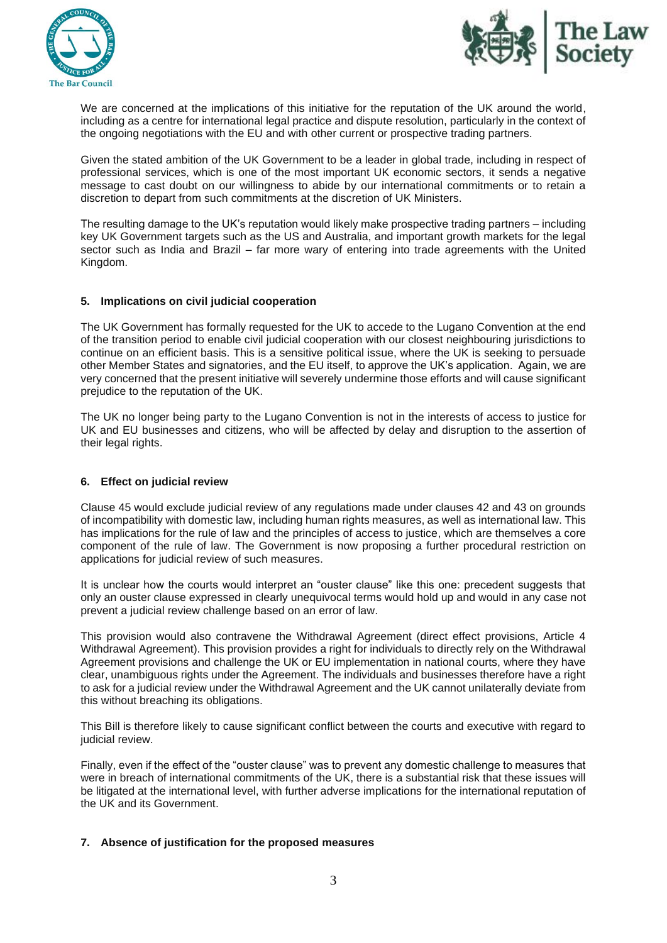



We are concerned at the implications of this initiative for the reputation of the UK around the world, including as a centre for international legal practice and dispute resolution, particularly in the context of the ongoing negotiations with the EU and with other current or prospective trading partners.

Given the stated ambition of the UK Government to be a leader in global trade, including in respect of professional services, which is one of the most important UK economic sectors, it sends a negative message to cast doubt on our willingness to abide by our international commitments or to retain a discretion to depart from such commitments at the discretion of UK Ministers.

The resulting damage to the UK's reputation would likely make prospective trading partners – including key UK Government targets such as the US and Australia, and important growth markets for the legal sector such as India and Brazil – far more wary of entering into trade agreements with the United Kingdom.

## **5. Implications on civil judicial cooperation**

The UK Government has formally requested for the UK to accede to the Lugano Convention at the end of the transition period to enable civil judicial cooperation with our closest neighbouring jurisdictions to continue on an efficient basis. This is a sensitive political issue, where the UK is seeking to persuade other Member States and signatories, and the EU itself, to approve the UK's application. Again, we are very concerned that the present initiative will severely undermine those efforts and will cause significant prejudice to the reputation of the UK.

The UK no longer being party to the Lugano Convention is not in the interests of access to justice for UK and EU businesses and citizens, who will be affected by delay and disruption to the assertion of their legal rights.

## **6. Effect on judicial review**

Clause 45 would exclude judicial review of any regulations made under clauses 42 and 43 on grounds of incompatibility with domestic law, including human rights measures, as well as international law. This has implications for the rule of law and the principles of access to justice, which are themselves a core component of the rule of law. The Government is now proposing a further procedural restriction on applications for judicial review of such measures.

It is unclear how the courts would interpret an "ouster clause" like this one: precedent suggests that only an ouster clause expressed in clearly unequivocal terms would hold up and would in any case not prevent a judicial review challenge based on an error of law.

This provision would also contravene the Withdrawal Agreement (direct effect provisions, Article 4 Withdrawal Agreement). This provision provides a right for individuals to directly rely on the Withdrawal Agreement provisions and challenge the UK or EU implementation in national courts, where they have clear, unambiguous rights under the Agreement. The individuals and businesses therefore have a right to ask for a judicial review under the Withdrawal Agreement and the UK cannot unilaterally deviate from this without breaching its obligations.

This Bill is therefore likely to cause significant conflict between the courts and executive with regard to judicial review.

Finally, even if the effect of the "ouster clause" was to prevent any domestic challenge to measures that were in breach of international commitments of the UK, there is a substantial risk that these issues will be litigated at the international level, with further adverse implications for the international reputation of the UK and its Government.

## **7. Absence of justification for the proposed measures**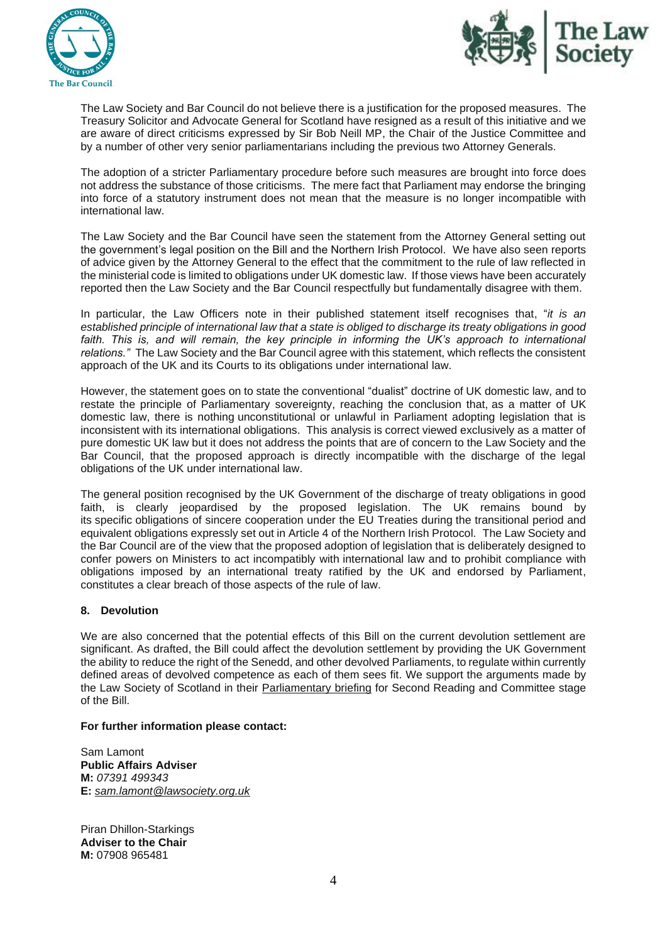



The Law Society and Bar Council do not believe there is a justification for the proposed measures. The Treasury Solicitor and Advocate General for Scotland have resigned as a result of this initiative and we are aware of direct criticisms expressed by Sir Bob Neill MP, the Chair of the Justice Committee and by a number of other very senior parliamentarians including the previous two Attorney Generals.

The adoption of a stricter Parliamentary procedure before such measures are brought into force does not address the substance of those criticisms. The mere fact that Parliament may endorse the bringing into force of a statutory instrument does not mean that the measure is no longer incompatible with international law.

The Law Society and the Bar Council have seen the statement from the Attorney General setting out the government's legal position on the Bill and the Northern Irish Protocol. We have also seen reports of advice given by the Attorney General to the effect that the commitment to the rule of law reflected in the ministerial code is limited to obligations under UK domestic law. If those views have been accurately reported then the Law Society and the Bar Council respectfully but fundamentally disagree with them.

In particular, the Law Officers note in their published statement itself recognises that, "*it is an established principle of international law that a state is obliged to discharge its treaty obligations in good*  faith. This is, and will remain, the key principle in informing the UK's approach to international *relations."* The Law Society and the Bar Council agree with this statement, which reflects the consistent approach of the UK and its Courts to its obligations under international law.

However, the statement goes on to state the conventional "dualist" doctrine of UK domestic law, and to restate the principle of Parliamentary sovereignty, reaching the conclusion that, as a matter of UK domestic law, there is nothing unconstitutional or unlawful in Parliament adopting legislation that is inconsistent with its international obligations. This analysis is correct viewed exclusively as a matter of pure domestic UK law but it does not address the points that are of concern to the Law Society and the Bar Council, that the proposed approach is directly incompatible with the discharge of the legal obligations of the UK under international law.

The general position recognised by the UK Government of the discharge of treaty obligations in good faith, is clearly jeopardised by the proposed legislation. The UK remains bound by its specific obligations of sincere cooperation under the EU Treaties during the transitional period and equivalent obligations expressly set out in Article 4 of the Northern Irish Protocol. The Law Society and the Bar Council are of the view that the proposed adoption of legislation that is deliberately designed to confer powers on Ministers to act incompatibly with international law and to prohibit compliance with obligations imposed by an international treaty ratified by the UK and endorsed by Parliament, constitutes a clear breach of those aspects of the rule of law.

## **8. Devolution**

We are also concerned that the potential effects of this Bill on the current devolution settlement are significant. As drafted, the Bill could affect the devolution settlement by providing the UK Government the ability to reduce the right of the Senedd, and other devolved Parliaments, to regulate within currently defined areas of devolved competence as each of them sees fit. We support the arguments made by the Law Society of Scotland in their [Parliamentary briefing](https://www.lawscot.org.uk/research-and-policy/influencing-the-law-and-policy/our-input-to-parliamentary-bills/bills-201920/united-kingdom-internal-market-bill-2019-2021/) for Second Reading and Committee stage of the Bill.

#### **For further information please contact:**

Sam Lamont **Public Affairs Adviser M:** *07391 499343* **E:** *[sam.lamont@lawsociety.org.uk](mailto:sam.lamont@lawsociety.org.uk)*

Piran Dhillon-Starkings **Adviser to the Chair M:** 07908 965481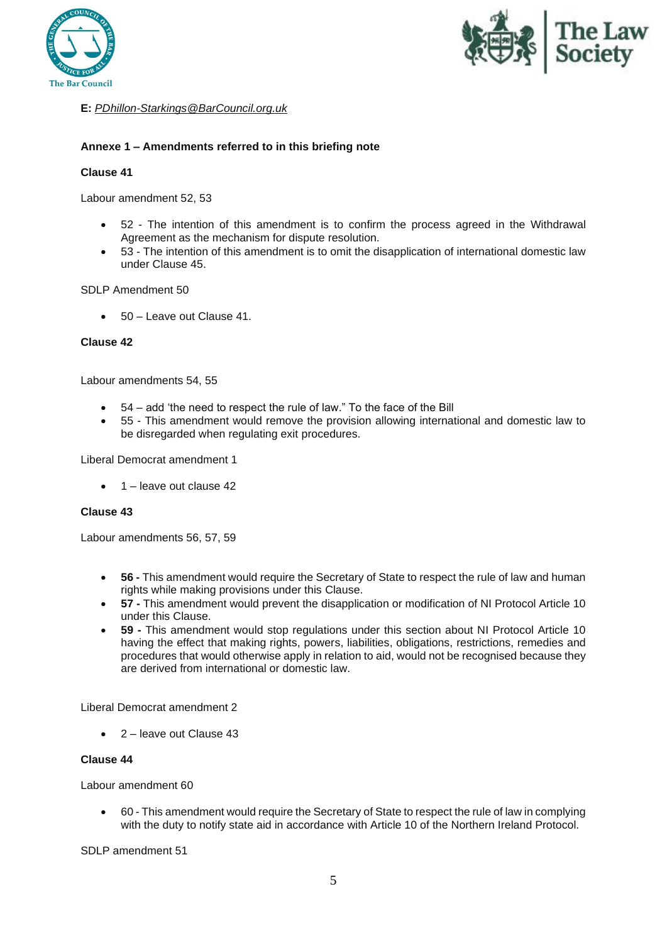



# **E:** *[PDhillon-Starkings@BarCouncil.org.uk](mailto:PDhillon-Starkings@BarCouncil.org.uk)*

# **Annexe 1 – Amendments referred to in this briefing note**

## **Clause 41**

Labour amendment 52, 53

- 52 The intention of this amendment is to confirm the process agreed in the Withdrawal Agreement as the mechanism for dispute resolution.
- 53 The intention of this amendment is to omit the disapplication of international domestic law under Clause 45.

## SDLP Amendment 50

• 50 – Leave out Clause 41

## **Clause 42**

Labour amendments 54, 55

- 54 add 'the need to respect the rule of law." To the face of the Bill
- 55 This amendment would remove the provision allowing international and domestic law to be disregarded when regulating exit procedures.

Liberal Democrat amendment 1

• 1 – leave out clause 42

#### **Clause 43**

Labour amendments 56, 57, 59

- **56 -** This amendment would require the Secretary of State to respect the rule of law and human rights while making provisions under this Clause.
- **57 -** This amendment would prevent the disapplication or modification of NI Protocol Article 10 under this Clause.
- **59 -** This amendment would stop regulations under this section about NI Protocol Article 10 having the effect that making rights, powers, liabilities, obligations, restrictions, remedies and procedures that would otherwise apply in relation to aid, would not be recognised because they are derived from international or domestic law.

Liberal Democrat amendment 2

• 2 – leave out Clause 43

## **Clause 44**

Labour amendment 60

• 60 - This amendment would require the Secretary of State to respect the rule of law in complying with the duty to notify state aid in accordance with Article 10 of the Northern Ireland Protocol.

SDLP amendment 51